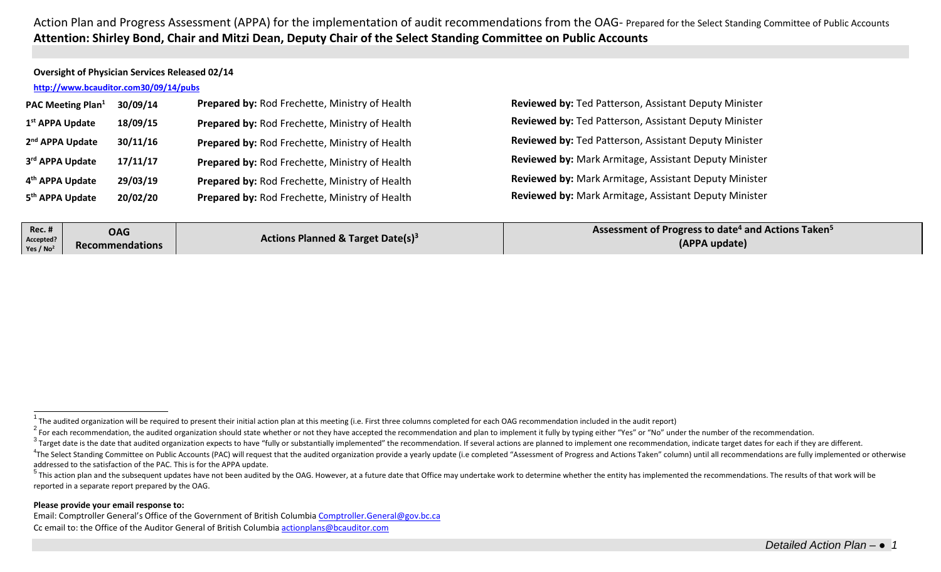### **Oversight of Physician Services Released 02/14**

# **<http://www.bcauditor.com30/09/14/pubs>**

| <b>PAC Meeting Plan</b> <sup>1</sup> | 30/09/14 | Prepared by: Rod Frechette, Ministry of Health | <b>Revie</b> |
|--------------------------------------|----------|------------------------------------------------|--------------|
| 1 <sup>st</sup> APPA Update          | 18/09/15 | Prepared by: Rod Frechette, Ministry of Health | <b>Revie</b> |
| 2 <sup>nd</sup> APPA Update          | 30/11/16 | Prepared by: Rod Frechette, Ministry of Health | <b>Revie</b> |
| 3rd APPA Update                      | 17/11/17 | Prepared by: Rod Frechette, Ministry of Health | <b>Revie</b> |
| 4 <sup>th</sup> APPA Update          | 29/03/19 | Prepared by: Rod Frechette, Ministry of Health | <b>Revie</b> |
| 5 <sup>th</sup> APPA Update          | 20/02/20 | Prepared by: Rod Frechette, Ministry of Health | <b>Revie</b> |

<span id="page-0-0"></span>**ewed by: Ted Patterson, Assistant Deputy Minister ewed by: Ted Patterson, Assistant Deputy Minister 2000 By: Ted Patterson, Assistant Deputy Minister ewed by: Mark Armitage, Assistant Deputy Minister ewed by:** Mark Armitage, Assistant Deputy Minister **5th APPA Update 20/02/20 Prepared by:** Rod Frechette, Ministry of Health **Reviewed by:** Mark Armitage, Assistant Deputy Minister

| <b>Rec. #</b><br>Accepted?<br>Yes / $No2$ | <b>OAG</b><br><b>Recommendations</b> | Actions Planned & Target Date(s) <sup>3</sup> | Assessment of Progress to date <sup>4</sup> and Actions Taken <sup>5</sup><br>(APPA update) |
|-------------------------------------------|--------------------------------------|-----------------------------------------------|---------------------------------------------------------------------------------------------|
|                                           |                                      |                                               |                                                                                             |

 $3$  Target date is the date that audited organization expects to have "fully or substantially implemented" the recommendation. If several actions are planned to implement one recommendation, indicate target dates for each

#### **Please provide your email response to:**

Email: Comptroller General's Office of the Government of British Columbia [Comptroller.General@gov.bc.ca](mailto:Comptroller.General@gov.bc.ca) Cc email to: the Office of the Auditor General of British Columbi[a actionplans@bcauditor.com](mailto:actionplans@bcauditor.com)

The audited organization will be required to present their initial action plan at this meeting (i.e. First three columns completed for each OAG recommendation included in the audit report)

<sup>&</sup>lt;sup>2</sup> For each recommendation, the audited organization should state whether or not they have accepted the recommendation and plan to implement it fully by typing either "Yes" or "No" under the number of the recommendation.

<sup>&</sup>lt;sup>4</sup>The Select Standing Committee on Public Accounts (PAC) will request that the audited organization provide a yearly update (i.e completed "Assessment of Progress and Actions Taken" column) until all recommendations are f addressed to the satisfaction of the PAC. This is for the APPA update.

<sup>&</sup>lt;sup>5</sup> This action plan and the subsequent updates have not been audited by the OAG. However, at a future date that Office may undertake work to determine whether the entity has implemented the recommendations. The results of reported in a separate report prepared by the OAG.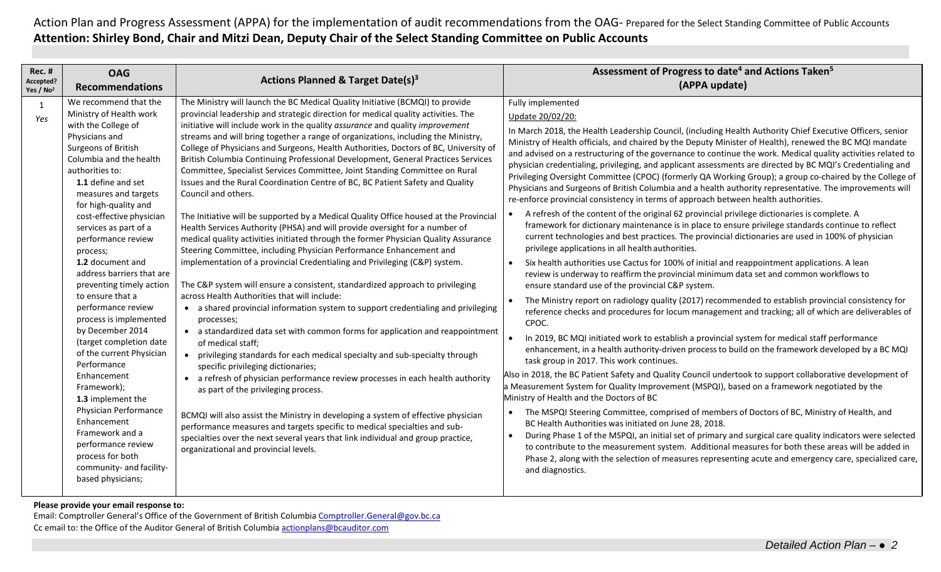| The Ministry will launch the BC Medical Quality Initiative (BCMQI) to provide<br>Fully implemented<br>We recommend that the<br>1<br>Ministry of Health work<br>provincial leadership and strategic direction for medical quality activities. The<br>Update 20/02/20:<br>Yes<br>with the College of<br>initiative will include work in the quality assurance and quality improvement<br>In March 2018, the Health Leadership Council, (including Health Authority Chief Executive Officers, senior<br>streams and will bring together a range of organizations, including the Ministry,<br>Physicians and<br>Ministry of Health officials, and chaired by the Deputy Minister of Health), renewed the BC MQI mandate<br>Surgeons of British<br>College of Physicians and Surgeons, Health Authorities, Doctors of BC, University of<br>Columbia and the health<br>British Columbia Continuing Professional Development, General Practices Services<br>physician credentialing, privileging, and applicant assessments are directed by BC MQI's Credentialing and<br>authorities to:<br>Committee, Specialist Services Committee, Joint Standing Committee on Rural<br>1.1 define and set<br>Issues and the Rural Coordination Centre of BC, BC Patient Safety and Quality<br>Physicians and Surgeons of British Columbia and a health authority representative. The improvements will<br>measures and targets<br>Council and others.<br>re-enforce provincial consistency in terms of approach between health authorities.<br>for high-quality and<br>A refresh of the content of the original 62 provincial privilege dictionaries is complete. A<br>cost-effective physician<br>The Initiative will be supported by a Medical Quality Office housed at the Provincial<br>framework for dictionary maintenance is in place to ensure privilege standards continue to reflect<br>Health Services Authority (PHSA) and will provide oversight for a number of<br>services as part of a<br>current technologies and best practices. The provincial dictionaries are used in 100% of physician<br>medical quality activities initiated through the former Physician Quality Assurance<br>performance review<br>privilege applications in all health authorities.<br>Steering Committee, including Physician Performance Enhancement and<br>process;<br>1.2 document and<br>implementation of a provincial Credentialing and Privileging (C&P) system.<br>Six health authorities use Cactus for 100% of initial and reappointment applications. A lean<br>$\bullet$<br>address barriers that are<br>review is underway to reaffirm the provincial minimum data set and common workflows to<br>The C&P system will ensure a consistent, standardized approach to privileging<br>preventing timely action<br>ensure standard use of the provincial C&P system.<br>across Health Authorities that will include:<br>to ensure that a<br>The Ministry report on radiology quality (2017) recommended to establish provincial consistency for<br>$\bullet$<br>performance review<br>• a shared provincial information system to support credentialing and privileging<br>reference checks and procedures for locum management and tracking; all of which are deliverables of<br>process is implemented<br>processes;<br>CPOC.<br>by December 2014<br>• a standardized data set with common forms for application and reappointment<br>In 2019, BC MQI initiated work to establish a provincial system for medical staff performance<br>(target completion date<br>of medical staff:<br>enhancement, in a health authority-driven process to build on the framework developed by a BC MQI<br>of the current Physician<br>privileging standards for each medical specialty and sub-specialty through<br>$\bullet$<br>task group in 2017. This work continues.<br>Performance<br>specific privileging dictionaries;<br>Also in 2018, the BC Patient Safety and Quality Council undertook to support collaborative development of<br>Enhancement<br>a refresh of physician performance review processes in each health authority<br>$\bullet$<br>a Measurement System for Quality Improvement (MSPQI), based on a framework negotiated by the<br>Framework);<br>as part of the privileging process.<br>Ministry of Health and the Doctors of BC<br>1.3 implement the<br>Physician Performance<br>The MSPQI Steering Committee, comprised of members of Doctors of BC, Ministry of Health, and<br>BCMQI will also assist the Ministry in developing a system of effective physician<br>Enhancement<br>BC Health Authorities was initiated on June 28, 2018.<br>performance measures and targets specific to medical specialties and sub-<br>Framework and a<br>$\bullet$<br>specialties over the next several years that link individual and group practice,<br>performance review<br>to contribute to the measurement system. Additional measures for both these areas will be added in<br>organizational and provincial levels. | <b>Rec. #</b><br>Accepted?<br>Yes $/$ No <sup>2</sup> | <b>OAG</b><br><b>Recommendations</b> | <b>Actions Planned &amp; Target Date(s)3</b> | Assessment of Progress to date <sup>4</sup> and Actions Taken <sup>5</sup><br>(APPA update)                                                                                                                                                                                                                                                                                                                                                     |
|-------------------------------------------------------------------------------------------------------------------------------------------------------------------------------------------------------------------------------------------------------------------------------------------------------------------------------------------------------------------------------------------------------------------------------------------------------------------------------------------------------------------------------------------------------------------------------------------------------------------------------------------------------------------------------------------------------------------------------------------------------------------------------------------------------------------------------------------------------------------------------------------------------------------------------------------------------------------------------------------------------------------------------------------------------------------------------------------------------------------------------------------------------------------------------------------------------------------------------------------------------------------------------------------------------------------------------------------------------------------------------------------------------------------------------------------------------------------------------------------------------------------------------------------------------------------------------------------------------------------------------------------------------------------------------------------------------------------------------------------------------------------------------------------------------------------------------------------------------------------------------------------------------------------------------------------------------------------------------------------------------------------------------------------------------------------------------------------------------------------------------------------------------------------------------------------------------------------------------------------------------------------------------------------------------------------------------------------------------------------------------------------------------------------------------------------------------------------------------------------------------------------------------------------------------------------------------------------------------------------------------------------------------------------------------------------------------------------------------------------------------------------------------------------------------------------------------------------------------------------------------------------------------------------------------------------------------------------------------------------------------------------------------------------------------------------------------------------------------------------------------------------------------------------------------------------------------------------------------------------------------------------------------------------------------------------------------------------------------------------------------------------------------------------------------------------------------------------------------------------------------------------------------------------------------------------------------------------------------------------------------------------------------------------------------------------------------------------------------------------------------------------------------------------------------------------------------------------------------------------------------------------------------------------------------------------------------------------------------------------------------------------------------------------------------------------------------------------------------------------------------------------------------------------------------------------------------------------------------------------------------------------------------------------------------------------------------------------------------------------------------------------------------------------------------------------------------------------------------------------------------------------------------------------------------------------------------------------------------------------------------------------------------------------------------------------------------------------------------------------------------------------------------------------------------------------------------------------------------------------------------------------------------------------------------------------------------------------------------------------------------------------|-------------------------------------------------------|--------------------------------------|----------------------------------------------|-------------------------------------------------------------------------------------------------------------------------------------------------------------------------------------------------------------------------------------------------------------------------------------------------------------------------------------------------------------------------------------------------------------------------------------------------|
| community- and facility-<br>and diagnostics.<br>based physicians;                                                                                                                                                                                                                                                                                                                                                                                                                                                                                                                                                                                                                                                                                                                                                                                                                                                                                                                                                                                                                                                                                                                                                                                                                                                                                                                                                                                                                                                                                                                                                                                                                                                                                                                                                                                                                                                                                                                                                                                                                                                                                                                                                                                                                                                                                                                                                                                                                                                                                                                                                                                                                                                                                                                                                                                                                                                                                                                                                                                                                                                                                                                                                                                                                                                                                                                                                                                                                                                                                                                                                                                                                                                                                                                                                                                                                                                                                                                                                                                                                                                                                                                                                                                                                                                                                                                                                                                                                                                                                                                                                                                                                                                                                                                                                                                                                                                                                                                                                 |                                                       | process for both                     |                                              | and advised on a restructuring of the governance to continue the work. Medical quality activities related to<br>Privileging Oversight Committee (CPOC) (formerly QA Working Group); a group co-chaired by the College of<br>During Phase 1 of the MSPQI, an initial set of primary and surgical care quality indicators were selected<br>Phase 2, along with the selection of measures representing acute and emergency care, specialized care, |

**Please provide your email response to:**

Email: Comptroller General's Office of the Government of British Columbia [Comptroller.General@gov.bc.ca](mailto:Comptroller.General@gov.bc.ca) Cc email to: the Office of the Auditor General of British Columbi[a actionplans@bcauditor.com](mailto:actionplans@bcauditor.com)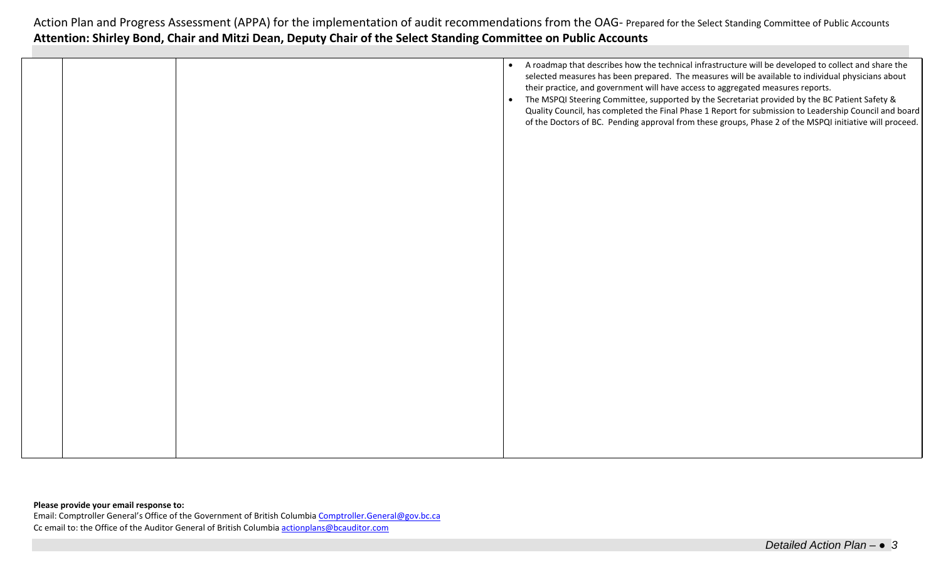|  | A roadmap that describes how the technical infrastructure will be developed to collect and share the<br>$\bullet$<br>selected measures has been prepared. The measures will be available to individual physicians about<br>their practice, and government will have access to aggregated measures reports.<br>The MSPQI Steering Committee, supported by the Secretariat provided by the BC Patient Safety &<br>$\bullet$<br>Quality Council, has completed the Final Phase 1 Report for submission to Leadership Council and board<br>of the Doctors of BC. Pending approval from these groups, Phase 2 of the MSPQI initiative will proceed. |
|--|------------------------------------------------------------------------------------------------------------------------------------------------------------------------------------------------------------------------------------------------------------------------------------------------------------------------------------------------------------------------------------------------------------------------------------------------------------------------------------------------------------------------------------------------------------------------------------------------------------------------------------------------|
|  |                                                                                                                                                                                                                                                                                                                                                                                                                                                                                                                                                                                                                                                |

## **Please provide your email response to:**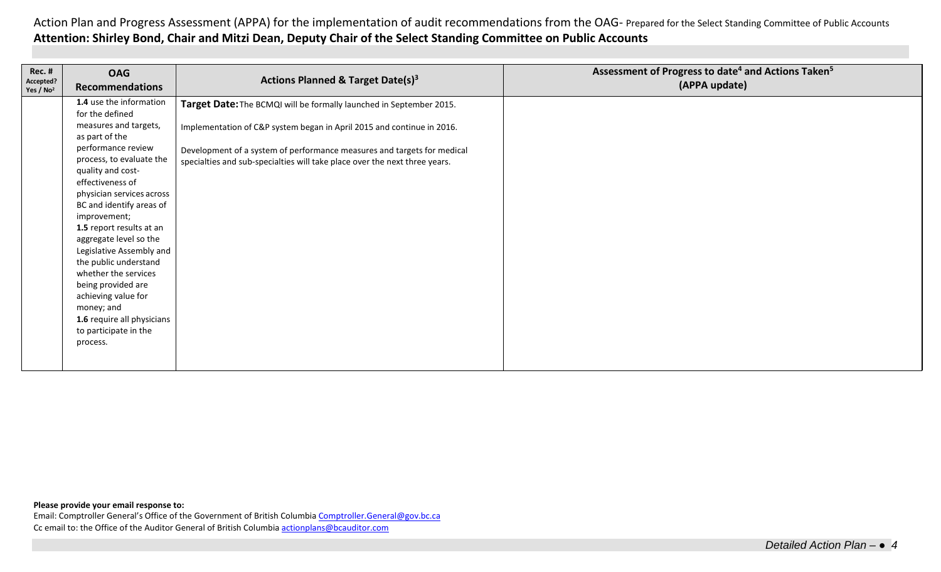| <b>Rec. #</b><br>Accepted?<br>Yes / No <sup>2</sup> | <b>OAG</b><br><b>Recommendations</b>                                                                                                                                                                                                                                                                                                                                                                                                                                                                                       | <b>Actions Planned &amp; Target Date(s)3</b>                                                                                                                                                                                                                                                           | Assessment of Progress to date <sup>4</sup> and Actions Taken <sup>5</sup><br>(APPA update) |
|-----------------------------------------------------|----------------------------------------------------------------------------------------------------------------------------------------------------------------------------------------------------------------------------------------------------------------------------------------------------------------------------------------------------------------------------------------------------------------------------------------------------------------------------------------------------------------------------|--------------------------------------------------------------------------------------------------------------------------------------------------------------------------------------------------------------------------------------------------------------------------------------------------------|---------------------------------------------------------------------------------------------|
|                                                     | 1.4 use the information<br>for the defined<br>measures and targets,<br>as part of the<br>performance review<br>process, to evaluate the<br>quality and cost-<br>effectiveness of<br>physician services across<br>BC and identify areas of<br>improvement;<br>1.5 report results at an<br>aggregate level so the<br>Legislative Assembly and<br>the public understand<br>whether the services<br>being provided are<br>achieving value for<br>money; and<br>1.6 require all physicians<br>to participate in the<br>process. | Target Date: The BCMQI will be formally launched in September 2015.<br>Implementation of C&P system began in April 2015 and continue in 2016.<br>Development of a system of performance measures and targets for medical<br>specialties and sub-specialties will take place over the next three years. |                                                                                             |
|                                                     |                                                                                                                                                                                                                                                                                                                                                                                                                                                                                                                            |                                                                                                                                                                                                                                                                                                        |                                                                                             |

#### **Please provide your email response to:**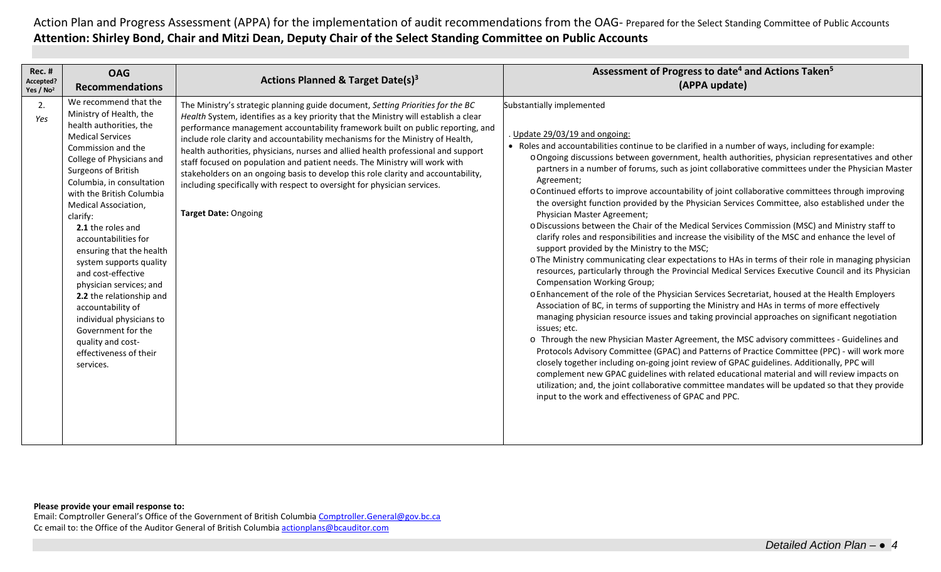| <b>Rec. #</b><br>Accepted?<br>Yes / $No2$ | <b>OAG</b><br><b>Recommendations</b>                                                                                                                                                                                                                                                                                                                                                                                                                                                                                                                                                   | Actions Planned & Target Date(s) <sup>3</sup>                                                                                                                                                                                                                                                                                                                                                                                                                                                                                                                                                                                                                                                                  | Assessment of Progress to date <sup>4</sup> and Actions Taken <sup>5</sup><br>(APPA update)                                                                                                                                                                                                                                                                                                                                                                                                                                                                                                                                                                                                                                                                                                                                                                                                                                                                                                                                                                                                                                                                                                                                                                                                                                                                                                                                                                                                                                                                                                                                                                                                                                                                                                                                                                                                                                                                                                                             |
|-------------------------------------------|----------------------------------------------------------------------------------------------------------------------------------------------------------------------------------------------------------------------------------------------------------------------------------------------------------------------------------------------------------------------------------------------------------------------------------------------------------------------------------------------------------------------------------------------------------------------------------------|----------------------------------------------------------------------------------------------------------------------------------------------------------------------------------------------------------------------------------------------------------------------------------------------------------------------------------------------------------------------------------------------------------------------------------------------------------------------------------------------------------------------------------------------------------------------------------------------------------------------------------------------------------------------------------------------------------------|-------------------------------------------------------------------------------------------------------------------------------------------------------------------------------------------------------------------------------------------------------------------------------------------------------------------------------------------------------------------------------------------------------------------------------------------------------------------------------------------------------------------------------------------------------------------------------------------------------------------------------------------------------------------------------------------------------------------------------------------------------------------------------------------------------------------------------------------------------------------------------------------------------------------------------------------------------------------------------------------------------------------------------------------------------------------------------------------------------------------------------------------------------------------------------------------------------------------------------------------------------------------------------------------------------------------------------------------------------------------------------------------------------------------------------------------------------------------------------------------------------------------------------------------------------------------------------------------------------------------------------------------------------------------------------------------------------------------------------------------------------------------------------------------------------------------------------------------------------------------------------------------------------------------------------------------------------------------------------------------------------------------------|
| 2.<br>Yes<br>clarify:                     | We recommend that the<br>Ministry of Health, the<br>health authorities, the<br><b>Medical Services</b><br>Commission and the<br>College of Physicians and<br>Surgeons of British<br>Columbia, in consultation<br>with the British Columbia<br>Medical Association,<br>2.1 the roles and<br>accountabilities for<br>ensuring that the health<br>system supports quality<br>and cost-effective<br>physician services; and<br>2.2 the relationship and<br>accountability of<br>individual physicians to<br>Government for the<br>quality and cost-<br>effectiveness of their<br>services. | The Ministry's strategic planning guide document, Setting Priorities for the BC<br>Health System, identifies as a key priority that the Ministry will establish a clear<br>performance management accountability framework built on public reporting, and<br>include role clarity and accountability mechanisms for the Ministry of Health,<br>health authorities, physicians, nurses and allied health professional and support<br>staff focused on population and patient needs. The Ministry will work with<br>stakeholders on an ongoing basis to develop this role clarity and accountability,<br>including specifically with respect to oversight for physician services.<br><b>Target Date: Ongoing</b> | Substantially implemented<br>Update 29/03/19 and ongoing:<br>• Roles and accountabilities continue to be clarified in a number of ways, including for example:<br>o Ongoing discussions between government, health authorities, physician representatives and other<br>partners in a number of forums, such as joint collaborative committees under the Physician Master<br>Agreement;<br>o Continued efforts to improve accountability of joint collaborative committees through improving<br>the oversight function provided by the Physician Services Committee, also established under the<br>Physician Master Agreement;<br>o Discussions between the Chair of the Medical Services Commission (MSC) and Ministry staff to<br>clarify roles and responsibilities and increase the visibility of the MSC and enhance the level of<br>support provided by the Ministry to the MSC;<br>o The Ministry communicating clear expectations to HAs in terms of their role in managing physician<br>resources, particularly through the Provincial Medical Services Executive Council and its Physician<br><b>Compensation Working Group;</b><br>o Enhancement of the role of the Physician Services Secretariat, housed at the Health Employers<br>Association of BC, in terms of supporting the Ministry and HAs in terms of more effectively<br>managing physician resource issues and taking provincial approaches on significant negotiation<br>issues; etc.<br>o Through the new Physician Master Agreement, the MSC advisory committees - Guidelines and<br>Protocols Advisory Committee (GPAC) and Patterns of Practice Committee (PPC) - will work more<br>closely together including on-going joint review of GPAC guidelines. Additionally, PPC will<br>complement new GPAC guidelines with related educational material and will review impacts on<br>utilization; and, the joint collaborative committee mandates will be updated so that they provide<br>input to the work and effectiveness of GPAC and PPC. |

### **Please provide your email response to:**

Email: Comptroller General's Office of the Government of British Columbi[a Comptroller.General@gov.bc.ca](mailto:Comptroller.General@gov.bc.ca) Cc email to: the Office of the Auditor General of British Columbia [actionplans@bcauditor.com](mailto:actionplans@bcauditor.com)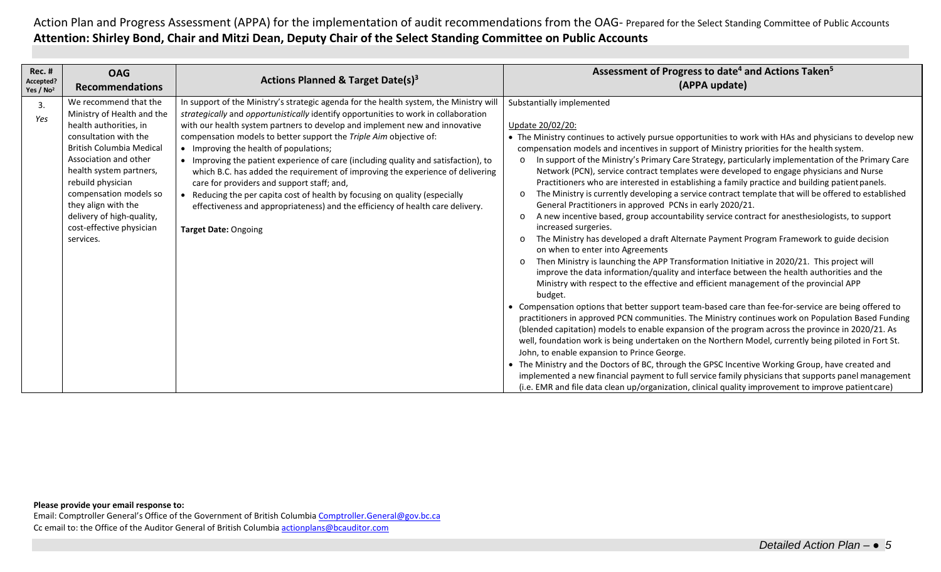| <b>Rec. #</b><br>Accepted?<br>Yes / $No2$ | <b>OAG</b><br><b>Recommendations</b>                                                                                                                                                                                                                                                                                                      | Actions Planned & Target Date(s) <sup>3</sup>                                                                                                                                                                                                                                                                                                                                                                                                                                                                                                                                                                                                                                                                                                                                                       | Assessment of Progress to date <sup>4</sup> and Actions Taken <sup>5</sup><br>(APPA update)                                                                                                                                                                                                                                                                                                                                                                                                                                                                                                                                                                                                                                                                                                                                                                                                                                                                                                                                                                                                                                                                                                                                                                                                                                                                                                                                                                                                                                                                                                                                                                                                                                                                                                                                                                                                                                                                                                                                                                                                                                                        |
|-------------------------------------------|-------------------------------------------------------------------------------------------------------------------------------------------------------------------------------------------------------------------------------------------------------------------------------------------------------------------------------------------|-----------------------------------------------------------------------------------------------------------------------------------------------------------------------------------------------------------------------------------------------------------------------------------------------------------------------------------------------------------------------------------------------------------------------------------------------------------------------------------------------------------------------------------------------------------------------------------------------------------------------------------------------------------------------------------------------------------------------------------------------------------------------------------------------------|----------------------------------------------------------------------------------------------------------------------------------------------------------------------------------------------------------------------------------------------------------------------------------------------------------------------------------------------------------------------------------------------------------------------------------------------------------------------------------------------------------------------------------------------------------------------------------------------------------------------------------------------------------------------------------------------------------------------------------------------------------------------------------------------------------------------------------------------------------------------------------------------------------------------------------------------------------------------------------------------------------------------------------------------------------------------------------------------------------------------------------------------------------------------------------------------------------------------------------------------------------------------------------------------------------------------------------------------------------------------------------------------------------------------------------------------------------------------------------------------------------------------------------------------------------------------------------------------------------------------------------------------------------------------------------------------------------------------------------------------------------------------------------------------------------------------------------------------------------------------------------------------------------------------------------------------------------------------------------------------------------------------------------------------------------------------------------------------------------------------------------------------------|
| 3.<br>Yes                                 | We recommend that the<br>Ministry of Health and the<br>health authorities, in<br>consultation with the<br><b>British Columbia Medical</b><br>Association and other<br>health system partners,<br>rebuild physician<br>compensation models so<br>they align with the<br>delivery of high-quality,<br>cost-effective physician<br>services. | In support of the Ministry's strategic agenda for the health system, the Ministry will<br>strategically and opportunistically identify opportunities to work in collaboration<br>with our health system partners to develop and implement new and innovative<br>compensation models to better support the Triple Aim objective of:<br>• Improving the health of populations;<br>• Improving the patient experience of care (including quality and satisfaction), to<br>which B.C. has added the requirement of improving the experience of delivering<br>care for providers and support staff; and,<br>• Reducing the per capita cost of health by focusing on quality (especially<br>effectiveness and appropriateness) and the efficiency of health care delivery.<br><b>Target Date: Ongoing</b> | Substantially implemented<br>Update 20/02/20:<br>• The Ministry continues to actively pursue opportunities to work with HAs and physicians to develop new<br>compensation models and incentives in support of Ministry priorities for the health system.<br>In support of the Ministry's Primary Care Strategy, particularly implementation of the Primary Care<br>$\circ$<br>Network (PCN), service contract templates were developed to engage physicians and Nurse<br>Practitioners who are interested in establishing a family practice and building patient panels.<br>The Ministry is currently developing a service contract template that will be offered to established<br>$\Omega$<br>General Practitioners in approved PCNs in early 2020/21.<br>A new incentive based, group accountability service contract for anesthesiologists, to support<br>$\Omega$<br>increased surgeries.<br>The Ministry has developed a draft Alternate Payment Program Framework to guide decision<br>$\Omega$<br>on when to enter into Agreements<br>Then Ministry is launching the APP Transformation Initiative in 2020/21. This project will<br>$\circ$<br>improve the data information/quality and interface between the health authorities and the<br>Ministry with respect to the effective and efficient management of the provincial APP<br>budget.<br>• Compensation options that better support team-based care than fee-for-service are being offered to<br>practitioners in approved PCN communities. The Ministry continues work on Population Based Funding<br>(blended capitation) models to enable expansion of the program across the province in 2020/21. As<br>well, foundation work is being undertaken on the Northern Model, currently being piloted in Fort St.<br>John, to enable expansion to Prince George.<br>• The Ministry and the Doctors of BC, through the GPSC Incentive Working Group, have created and<br>implemented a new financial payment to full service family physicians that supports panel management<br>(i.e. EMR and file data clean up/organization, clinical quality improvement to improve patient care) |

## **Please provide your email response to:**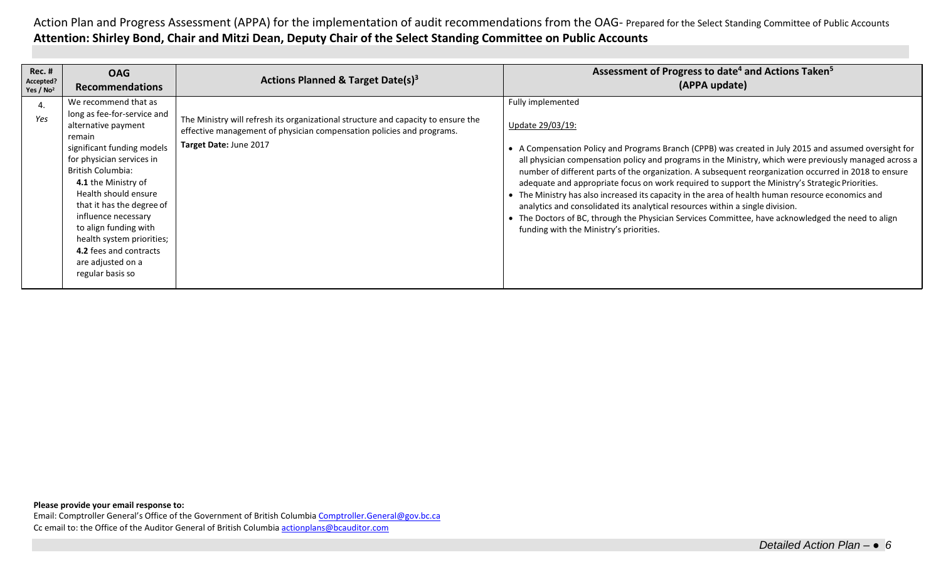| Rec. #<br>Accepted?<br>Yes / $No2$ | <b>OAG</b><br><b>Recommendations</b>                                                                                                                                                                                                                                                                                                                                                             | Actions Planned & Target Date(s) <sup>3</sup>                                                                                                                                        | Assessment of Progress to date <sup>4</sup> and Actions Taken <sup>5</sup><br>(APPA update)                                                                                                                                                                                                                                                                                                                                                                                                                                                                                                                                                                                                                                                                                                                 |
|------------------------------------|--------------------------------------------------------------------------------------------------------------------------------------------------------------------------------------------------------------------------------------------------------------------------------------------------------------------------------------------------------------------------------------------------|--------------------------------------------------------------------------------------------------------------------------------------------------------------------------------------|-------------------------------------------------------------------------------------------------------------------------------------------------------------------------------------------------------------------------------------------------------------------------------------------------------------------------------------------------------------------------------------------------------------------------------------------------------------------------------------------------------------------------------------------------------------------------------------------------------------------------------------------------------------------------------------------------------------------------------------------------------------------------------------------------------------|
| $\overline{4}$ .<br>Yes            | We recommend that as<br>long as fee-for-service and<br>alternative payment<br>remain<br>significant funding models<br>for physician services in<br>British Columbia:<br>4.1 the Ministry of<br>Health should ensure<br>that it has the degree of<br>influence necessary<br>to align funding with<br>health system priorities;<br>4.2 fees and contracts<br>are adjusted on a<br>regular basis so | The Ministry will refresh its organizational structure and capacity to ensure the<br>effective management of physician compensation policies and programs.<br>Target Date: June 2017 | Fully implemented<br>Update 29/03/19:<br>• A Compensation Policy and Programs Branch (CPPB) was created in July 2015 and assumed oversight for<br>all physician compensation policy and programs in the Ministry, which were previously managed across a<br>number of different parts of the organization. A subsequent reorganization occurred in 2018 to ensure<br>adequate and appropriate focus on work required to support the Ministry's Strategic Priorities.<br>• The Ministry has also increased its capacity in the area of health human resource economics and<br>analytics and consolidated its analytical resources within a single division.<br>• The Doctors of BC, through the Physician Services Committee, have acknowledged the need to align<br>funding with the Ministry's priorities. |

**Please provide your email response to:**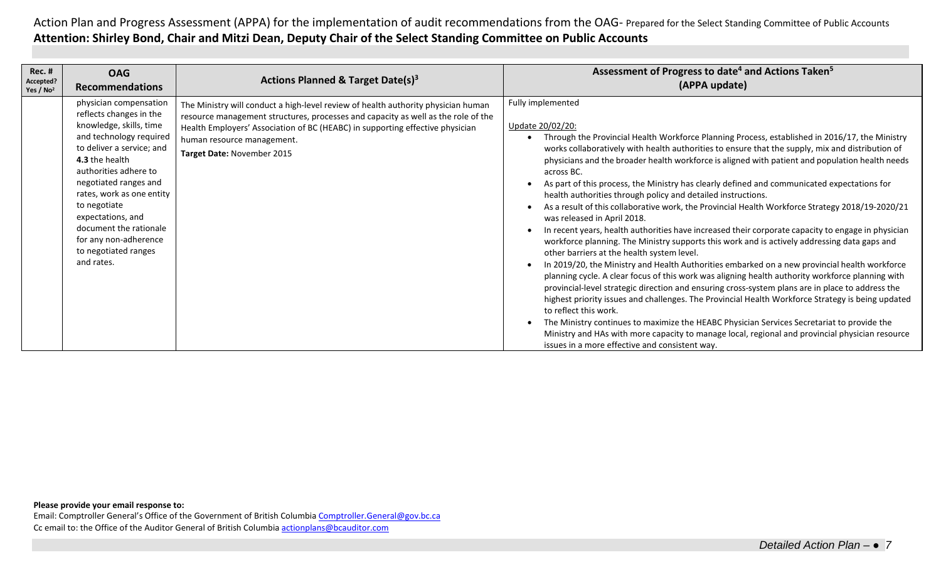| <b>Rec. #</b><br>Accepted?<br>Yes / $No2$ | <b>OAG</b><br><b>Recommendations</b>                                                                                                                                                                                                                                                                                                                                | <b>Actions Planned &amp; Target Date(s)<sup>3</sup></b>                                                                                                                                                                                                                                                             | Assessment of Progress to date <sup>4</sup> and Actions Taken <sup>5</sup><br>(APPA update)                                                                                                                                                                                                                                                                                                                                                                                                                                                                                                                                                                                                                                                                                                                                                                                                                                                                                                                                                                                                                                                                                                                                                                                                                                                                                                                                                                                                                                                                                                                  |
|-------------------------------------------|---------------------------------------------------------------------------------------------------------------------------------------------------------------------------------------------------------------------------------------------------------------------------------------------------------------------------------------------------------------------|---------------------------------------------------------------------------------------------------------------------------------------------------------------------------------------------------------------------------------------------------------------------------------------------------------------------|--------------------------------------------------------------------------------------------------------------------------------------------------------------------------------------------------------------------------------------------------------------------------------------------------------------------------------------------------------------------------------------------------------------------------------------------------------------------------------------------------------------------------------------------------------------------------------------------------------------------------------------------------------------------------------------------------------------------------------------------------------------------------------------------------------------------------------------------------------------------------------------------------------------------------------------------------------------------------------------------------------------------------------------------------------------------------------------------------------------------------------------------------------------------------------------------------------------------------------------------------------------------------------------------------------------------------------------------------------------------------------------------------------------------------------------------------------------------------------------------------------------------------------------------------------------------------------------------------------------|
|                                           | physician compensation<br>reflects changes in the<br>knowledge, skills, time<br>and technology required<br>to deliver a service; and<br>4.3 the health<br>authorities adhere to<br>negotiated ranges and<br>rates, work as one entity<br>to negotiate<br>expectations, and<br>document the rationale<br>for any non-adherence<br>to negotiated ranges<br>and rates. | The Ministry will conduct a high-level review of health authority physician human<br>resource management structures, processes and capacity as well as the role of the<br>Health Employers' Association of BC (HEABC) in supporting effective physician<br>human resource management.<br>Target Date: November 2015 | Fully implemented<br>Update 20/02/20:<br>Through the Provincial Health Workforce Planning Process, established in 2016/17, the Ministry<br>works collaboratively with health authorities to ensure that the supply, mix and distribution of<br>physicians and the broader health workforce is aligned with patient and population health needs<br>across BC.<br>As part of this process, the Ministry has clearly defined and communicated expectations for<br>health authorities through policy and detailed instructions.<br>As a result of this collaborative work, the Provincial Health Workforce Strategy 2018/19-2020/21<br>was released in April 2018.<br>In recent years, health authorities have increased their corporate capacity to engage in physician<br>workforce planning. The Ministry supports this work and is actively addressing data gaps and<br>other barriers at the health system level.<br>In 2019/20, the Ministry and Health Authorities embarked on a new provincial health workforce<br>planning cycle. A clear focus of this work was aligning health authority workforce planning with<br>provincial-level strategic direction and ensuring cross-system plans are in place to address the<br>highest priority issues and challenges. The Provincial Health Workforce Strategy is being updated<br>to reflect this work.<br>The Ministry continues to maximize the HEABC Physician Services Secretariat to provide the<br>Ministry and HAs with more capacity to manage local, regional and provincial physician resource<br>issues in a more effective and consistent way. |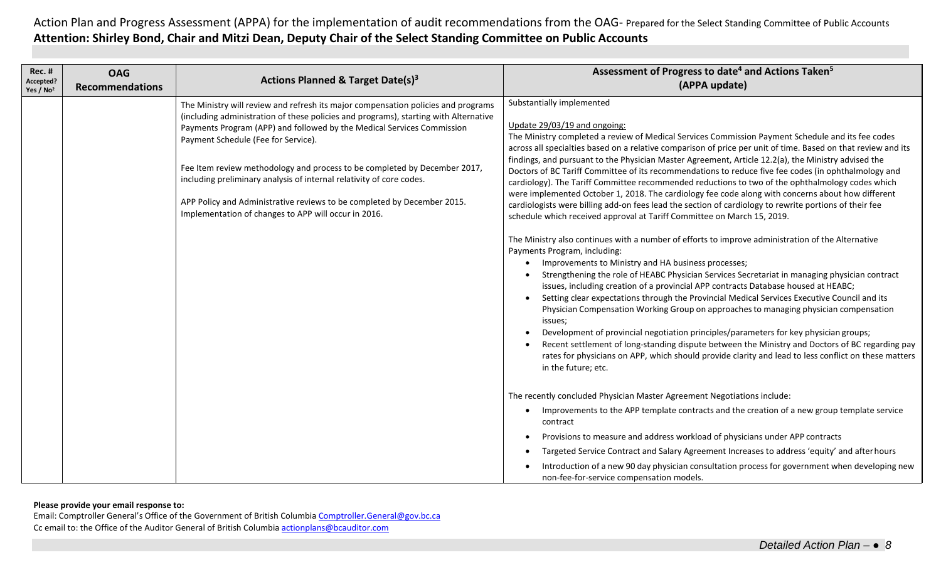| <b>Rec. #</b><br>Accepted?<br>Yes / No <sup>2</sup> | <b>OAG</b><br><b>Recommendations</b> | Actions Planned & Target Date(s) <sup>3</sup>                                                                                                                                                                                                                                                                                                                                                                                                                                                                                                                                      | Assessment of Progress to date <sup>4</sup> and Actions Taken <sup>5</sup><br>(APPA update)                                                                                                                                                                                                                                                                                                                                                                                                                                                                                                                                                                                                                                                                                                                                                                                                                                                                                                                                                                                                                                                                                                                                                                                                                                                                                                                                                                                                                                                                                                                                                                                                                                                                                                                    |
|-----------------------------------------------------|--------------------------------------|------------------------------------------------------------------------------------------------------------------------------------------------------------------------------------------------------------------------------------------------------------------------------------------------------------------------------------------------------------------------------------------------------------------------------------------------------------------------------------------------------------------------------------------------------------------------------------|----------------------------------------------------------------------------------------------------------------------------------------------------------------------------------------------------------------------------------------------------------------------------------------------------------------------------------------------------------------------------------------------------------------------------------------------------------------------------------------------------------------------------------------------------------------------------------------------------------------------------------------------------------------------------------------------------------------------------------------------------------------------------------------------------------------------------------------------------------------------------------------------------------------------------------------------------------------------------------------------------------------------------------------------------------------------------------------------------------------------------------------------------------------------------------------------------------------------------------------------------------------------------------------------------------------------------------------------------------------------------------------------------------------------------------------------------------------------------------------------------------------------------------------------------------------------------------------------------------------------------------------------------------------------------------------------------------------------------------------------------------------------------------------------------------------|
|                                                     |                                      | The Ministry will review and refresh its major compensation policies and programs<br>(including administration of these policies and programs), starting with Alternative<br>Payments Program (APP) and followed by the Medical Services Commission<br>Payment Schedule (Fee for Service).<br>Fee Item review methodology and process to be completed by December 2017,<br>including preliminary analysis of internal relativity of core codes.<br>APP Policy and Administrative reviews to be completed by December 2015.<br>Implementation of changes to APP will occur in 2016. | Substantially implemented<br>Update 29/03/19 and ongoing:<br>The Ministry completed a review of Medical Services Commission Payment Schedule and its fee codes<br>across all specialties based on a relative comparison of price per unit of time. Based on that review and its<br>findings, and pursuant to the Physician Master Agreement, Article 12.2(a), the Ministry advised the<br>Doctors of BC Tariff Committee of its recommendations to reduce five fee codes (in ophthalmology and<br>cardiology). The Tariff Committee recommended reductions to two of the ophthalmology codes which<br>were implemented October 1, 2018. The cardiology fee code along with concerns about how different<br>cardiologists were billing add-on fees lead the section of cardiology to rewrite portions of their fee<br>schedule which received approval at Tariff Committee on March 15, 2019.<br>The Ministry also continues with a number of efforts to improve administration of the Alternative<br>Payments Program, including:<br>Improvements to Ministry and HA business processes;<br>Strengthening the role of HEABC Physician Services Secretariat in managing physician contract<br>issues, including creation of a provincial APP contracts Database housed at HEABC;<br>Setting clear expectations through the Provincial Medical Services Executive Council and its<br>Physician Compensation Working Group on approaches to managing physician compensation<br>issues;<br>Development of provincial negotiation principles/parameters for key physician groups;<br>Recent settlement of long-standing dispute between the Ministry and Doctors of BC regarding pay<br>rates for physicians on APP, which should provide clarity and lead to less conflict on these matters<br>in the future; etc. |
|                                                     |                                      |                                                                                                                                                                                                                                                                                                                                                                                                                                                                                                                                                                                    | The recently concluded Physician Master Agreement Negotiations include:<br>Improvements to the APP template contracts and the creation of a new group template service<br>contract<br>Provisions to measure and address workload of physicians under APP contracts<br>$\bullet$<br>Targeted Service Contract and Salary Agreement Increases to address 'equity' and after hours<br>Introduction of a new 90 day physician consultation process for government when developing new<br>non-fee-for-service compensation models.                                                                                                                                                                                                                                                                                                                                                                                                                                                                                                                                                                                                                                                                                                                                                                                                                                                                                                                                                                                                                                                                                                                                                                                                                                                                                  |

### **Please provide your email response to:**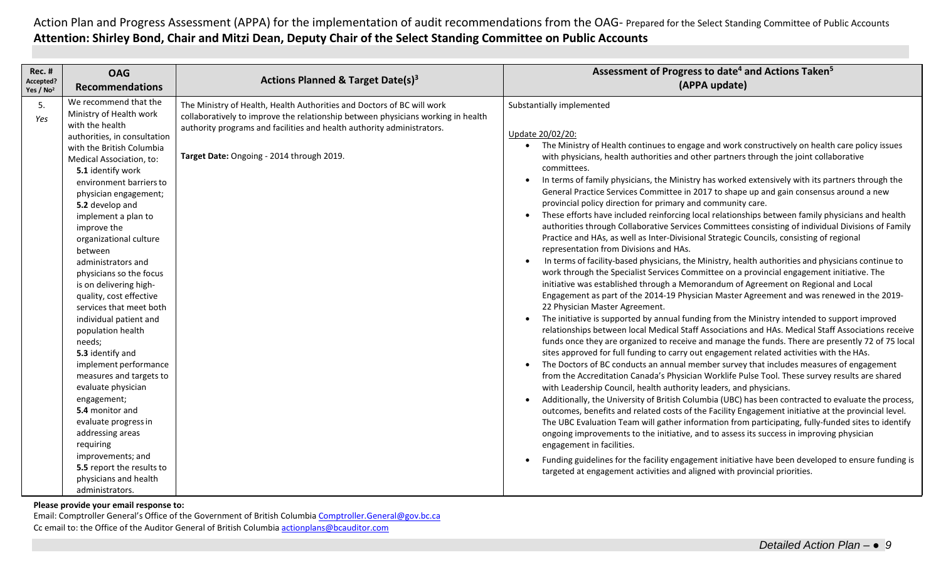| <b>Rec. #</b><br>Accepted? | <b>OAG</b>                                                                                                                                                                                                                                                                                                                                                                                                                                                                                                                                                                                                                                                                                                                                                                                                           | Actions Planned & Target Date(s) <sup>3</sup>                                                                                                                                                                                                                                     | Assessment of Progress to date <sup>4</sup> and Actions Taken <sup>5</sup>                                                                                                                                                                                                                                                                                                                                                                                                                                                                                                                                                                                                                                                                                                                                                                                                                                                                                                                                                                                                                                                                                                                                                                                                                                                                                                                                                                                                                                                                                                                                                                                                                                                                                                                                                                                                                                                                                                                                                                                                                                                                                                                                                                                                                                                                                                                                                                                                                                                                                                                                               |
|----------------------------|----------------------------------------------------------------------------------------------------------------------------------------------------------------------------------------------------------------------------------------------------------------------------------------------------------------------------------------------------------------------------------------------------------------------------------------------------------------------------------------------------------------------------------------------------------------------------------------------------------------------------------------------------------------------------------------------------------------------------------------------------------------------------------------------------------------------|-----------------------------------------------------------------------------------------------------------------------------------------------------------------------------------------------------------------------------------------------------------------------------------|--------------------------------------------------------------------------------------------------------------------------------------------------------------------------------------------------------------------------------------------------------------------------------------------------------------------------------------------------------------------------------------------------------------------------------------------------------------------------------------------------------------------------------------------------------------------------------------------------------------------------------------------------------------------------------------------------------------------------------------------------------------------------------------------------------------------------------------------------------------------------------------------------------------------------------------------------------------------------------------------------------------------------------------------------------------------------------------------------------------------------------------------------------------------------------------------------------------------------------------------------------------------------------------------------------------------------------------------------------------------------------------------------------------------------------------------------------------------------------------------------------------------------------------------------------------------------------------------------------------------------------------------------------------------------------------------------------------------------------------------------------------------------------------------------------------------------------------------------------------------------------------------------------------------------------------------------------------------------------------------------------------------------------------------------------------------------------------------------------------------------------------------------------------------------------------------------------------------------------------------------------------------------------------------------------------------------------------------------------------------------------------------------------------------------------------------------------------------------------------------------------------------------------------------------------------------------------------------------------------------------|
| Yes / $No2$                | <b>Recommendations</b>                                                                                                                                                                                                                                                                                                                                                                                                                                                                                                                                                                                                                                                                                                                                                                                               |                                                                                                                                                                                                                                                                                   | (APPA update)                                                                                                                                                                                                                                                                                                                                                                                                                                                                                                                                                                                                                                                                                                                                                                                                                                                                                                                                                                                                                                                                                                                                                                                                                                                                                                                                                                                                                                                                                                                                                                                                                                                                                                                                                                                                                                                                                                                                                                                                                                                                                                                                                                                                                                                                                                                                                                                                                                                                                                                                                                                                            |
| 5.<br>Yes                  | We recommend that the<br>Ministry of Health work<br>with the health<br>authorities, in consultation<br>with the British Columbia<br>Medical Association, to:<br>5.1 identify work<br>environment barriers to<br>physician engagement;<br>5.2 develop and<br>implement a plan to<br>improve the<br>organizational culture<br>between<br>administrators and<br>physicians so the focus<br>is on delivering high-<br>quality, cost effective<br>services that meet both<br>individual patient and<br>population health<br>needs;<br>5.3 identify and<br>implement performance<br>measures and targets to<br>evaluate physician<br>engagement;<br>5.4 monitor and<br>evaluate progress in<br>addressing areas<br>requiring<br>improvements; and<br>5.5 report the results to<br>physicians and health<br>administrators. | The Ministry of Health, Health Authorities and Doctors of BC will work<br>collaboratively to improve the relationship between physicians working in health<br>authority programs and facilities and health authority administrators.<br>Target Date: Ongoing - 2014 through 2019. | Substantially implemented<br>Update 20/02/20:<br>• The Ministry of Health continues to engage and work constructively on health care policy issues<br>with physicians, health authorities and other partners through the joint collaborative<br>committees.<br>In terms of family physicians, the Ministry has worked extensively with its partners through the<br>General Practice Services Committee in 2017 to shape up and gain consensus around a new<br>provincial policy direction for primary and community care.<br>These efforts have included reinforcing local relationships between family physicians and health<br>$\bullet$<br>authorities through Collaborative Services Committees consisting of individual Divisions of Family<br>Practice and HAs, as well as Inter-Divisional Strategic Councils, consisting of regional<br>representation from Divisions and HAs.<br>In terms of facility-based physicians, the Ministry, health authorities and physicians continue to<br>work through the Specialist Services Committee on a provincial engagement initiative. The<br>initiative was established through a Memorandum of Agreement on Regional and Local<br>Engagement as part of the 2014-19 Physician Master Agreement and was renewed in the 2019-<br>22 Physician Master Agreement.<br>The initiative is supported by annual funding from the Ministry intended to support improved<br>relationships between local Medical Staff Associations and HAs. Medical Staff Associations receive<br>funds once they are organized to receive and manage the funds. There are presently 72 of 75 local<br>sites approved for full funding to carry out engagement related activities with the HAs.<br>The Doctors of BC conducts an annual member survey that includes measures of engagement<br>from the Accreditation Canada's Physician Worklife Pulse Tool. These survey results are shared<br>with Leadership Council, health authority leaders, and physicians.<br>Additionally, the University of British Columbia (UBC) has been contracted to evaluate the process,<br>outcomes, benefits and related costs of the Facility Engagement initiative at the provincial level.<br>The UBC Evaluation Team will gather information from participating, fully-funded sites to identify<br>ongoing improvements to the initiative, and to assess its success in improving physician<br>engagement in facilities.<br>Funding guidelines for the facility engagement initiative have been developed to ensure funding is<br>targeted at engagement activities and aligned with provincial priorities. |

### **Please provide your email response to:**